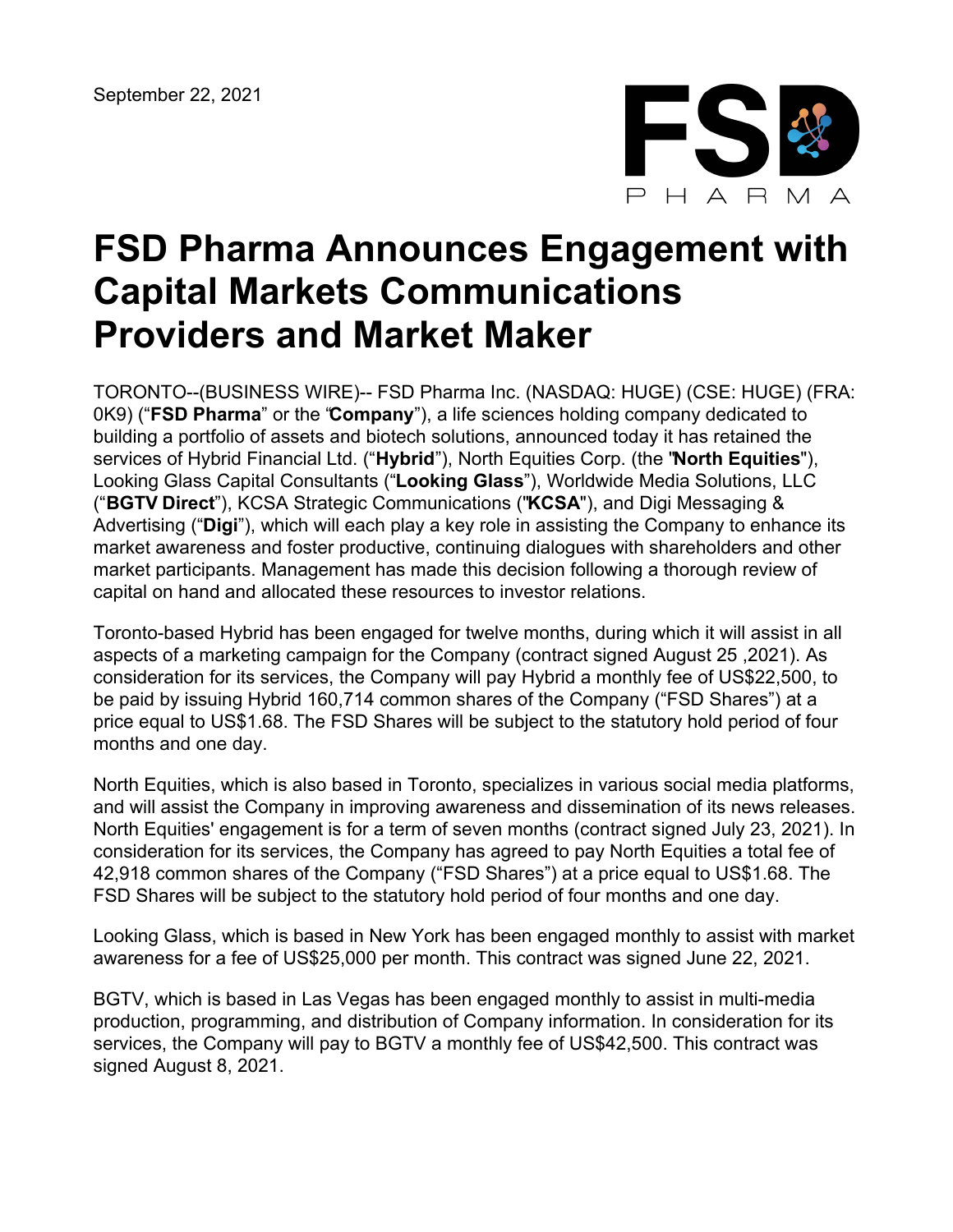

## **FSD Pharma Announces Engagement with Capital Markets Communications Providers and Market Maker**

TORONTO--(BUSINESS WIRE)-- FSD Pharma Inc. (NASDAQ: HUGE) (CSE: HUGE) (FRA: 0K9) ("**FSD Pharma**" or the "**Company**"), a life sciences holding company dedicated to building a portfolio of assets and biotech solutions, announced today it has retained the services of Hybrid Financial Ltd. ("**Hybrid**"), North Equities Corp. (the "**North Equities**"), Looking Glass Capital Consultants ("**Looking Glass**"), Worldwide Media Solutions, LLC ("**BGTV Direct**"), KCSA Strategic Communications ("**KCSA**"), and Digi Messaging & Advertising ("**Digi**"), which will each play a key role in assisting the Company to enhance its market awareness and foster productive, continuing dialogues with shareholders and other market participants. Management has made this decision following a thorough review of capital on hand and allocated these resources to investor relations.

Toronto-based Hybrid has been engaged for twelve months, during which it will assist in all aspects of a marketing campaign for the Company (contract signed August 25 ,2021). As consideration for its services, the Company will pay Hybrid a monthly fee of US\$22,500, to be paid by issuing Hybrid 160,714 common shares of the Company ("FSD Shares") at a price equal to US\$1.68. The FSD Shares will be subject to the statutory hold period of four months and one day.

North Equities, which is also based in Toronto, specializes in various social media platforms, and will assist the Company in improving awareness and dissemination of its news releases. North Equities' engagement is for a term of seven months (contract signed July 23, 2021). In consideration for its services, the Company has agreed to pay North Equities a total fee of 42,918 common shares of the Company ("FSD Shares") at a price equal to US\$1.68. The FSD Shares will be subject to the statutory hold period of four months and one day.

Looking Glass, which is based in New York has been engaged monthly to assist with market awareness for a fee of US\$25,000 per month. This contract was signed June 22, 2021.

BGTV, which is based in Las Vegas has been engaged monthly to assist in multi-media production, programming, and distribution of Company information. In consideration for its services, the Company will pay to BGTV a monthly fee of US\$42,500. This contract was signed August 8, 2021.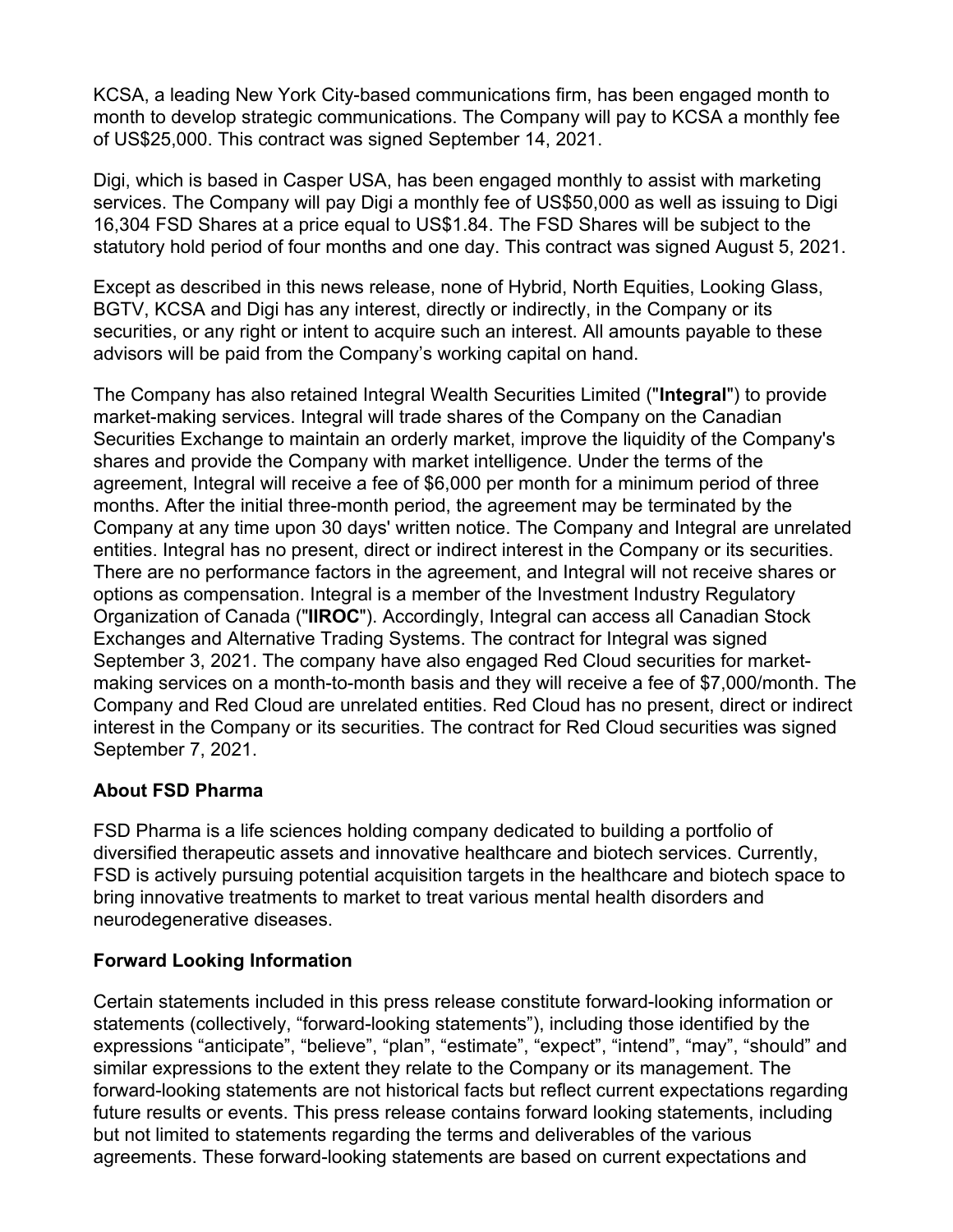KCSA, a leading New York City-based communications firm, has been engaged month to month to develop strategic communications. The Company will pay to KCSA a monthly fee of US\$25,000. This contract was signed September 14, 2021.

Digi, which is based in Casper USA, has been engaged monthly to assist with marketing services. The Company will pay Digi a monthly fee of US\$50,000 as well as issuing to Digi 16,304 FSD Shares at a price equal to US\$1.84. The FSD Shares will be subject to the statutory hold period of four months and one day. This contract was signed August 5, 2021.

Except as described in this news release, none of Hybrid, North Equities, Looking Glass, BGTV, KCSA and Digi has any interest, directly or indirectly, in the Company or its securities, or any right or intent to acquire such an interest. All amounts payable to these advisors will be paid from the Company's working capital on hand.

The Company has also retained Integral Wealth Securities Limited ("**Integral**") to provide market-making services. Integral will trade shares of the Company on the Canadian Securities Exchange to maintain an orderly market, improve the liquidity of the Company's shares and provide the Company with market intelligence. Under the terms of the agreement, Integral will receive a fee of \$6,000 per month for a minimum period of three months. After the initial three-month period, the agreement may be terminated by the Company at any time upon 30 days' written notice. The Company and Integral are unrelated entities. Integral has no present, direct or indirect interest in the Company or its securities. There are no performance factors in the agreement, and Integral will not receive shares or options as compensation. Integral is a member of the Investment Industry Regulatory Organization of Canada ("**IIROC**"). Accordingly, Integral can access all Canadian Stock Exchanges and Alternative Trading Systems. The contract for Integral was signed September 3, 2021. The company have also engaged Red Cloud securities for marketmaking services on a month-to-month basis and they will receive a fee of \$7,000/month. The Company and Red Cloud are unrelated entities. Red Cloud has no present, direct or indirect interest in the Company or its securities. The contract for Red Cloud securities was signed September 7, 2021.

## **About FSD Pharma**

FSD Pharma is a life sciences holding company dedicated to building a portfolio of diversified therapeutic assets and innovative healthcare and biotech services. Currently, FSD is actively pursuing potential acquisition targets in the healthcare and biotech space to bring innovative treatments to market to treat various mental health disorders and neurodegenerative diseases.

## **Forward Looking Information**

Certain statements included in this press release constitute forward-looking information or statements (collectively, "forward-looking statements"), including those identified by the expressions "anticipate", "believe", "plan", "estimate", "expect", "intend", "may", "should" and similar expressions to the extent they relate to the Company or its management. The forward-looking statements are not historical facts but reflect current expectations regarding future results or events. This press release contains forward looking statements, including but not limited to statements regarding the terms and deliverables of the various agreements. These forward-looking statements are based on current expectations and